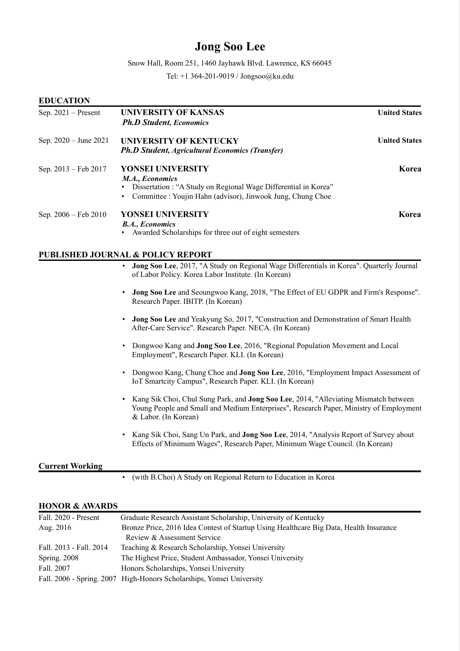# Jong Soo Lee

Snow Hall, Room 251, 1460 Jayhawk Blvd. Lawrence, KS 66045

Tel: +1 364-201-9019 / Jongsoo@ku.edu

| <b>EDUCATION</b>      |                                                                                                                                                                                                                     |                      |  |
|-----------------------|---------------------------------------------------------------------------------------------------------------------------------------------------------------------------------------------------------------------|----------------------|--|
| Sep. $2021$ – Present | <b>UNIVERSITY OF KANSAS</b><br><b>Ph.D Student, Economics</b>                                                                                                                                                       | <b>United States</b> |  |
| Sep. 2020 - June 2021 | <b>UNIVERSITY OF KENTUCKY</b><br><b>Ph.D Student, Agricultural Economics (Transfer)</b>                                                                                                                             | <b>United States</b> |  |
| Sep. 2013 – Feb 2017  | YONSEI UNIVERSITY<br>M.A., Economics<br>Dissertation : "A Study on Regional Wage Differential in Korea"<br>٠<br>• Committee : Youjin Hahn (advisor), Jinwook Jung, Chung Choe                                       | Korea                |  |
| Sep. 2006 - Feb 2010  | YONSEI UNIVERSITY<br><b>B.A., Economics</b><br>Awarded Scholarships for three out of eight semesters                                                                                                                | Korea                |  |
|                       | <b>PUBLISHED JOURNAL &amp; POLICY REPORT</b>                                                                                                                                                                        |                      |  |
|                       | Jong Soo Lee, 2017, "A Study on Regional Wage Differentials in Korea". Quarterly Journal<br>$\bullet$<br>of Labor Policy. Korea Labor Institute. (In Korean)                                                        |                      |  |
|                       | Jong Soo Lee and Seoungwoo Kang, 2018, "The Effect of EU GDPR and Firm's Response".<br>Research Paper. IBITP. (In Korean)                                                                                           |                      |  |
|                       | Jong Soo Lee and Yeakyung So, 2017, "Construction and Demonstration of Smart Health<br>$\bullet$<br>After-Care Service". Research Paper. NECA. (In Korean)                                                          |                      |  |
|                       | Dongwoo Kang and <b>Jong Soo Lee</b> , 2016, "Regional Population Movement and Local<br>$\bullet$<br>Employment", Research Paper. KLI. (In Korean)                                                                  |                      |  |
|                       | Dongwoo Kang, Chung Choe and Jong Soo Lee, 2016, "Employment Impact Assessment of<br>$\bullet$<br>IoT Smartcity Campus", Research Paper. KLI. (In Korean)                                                           |                      |  |
|                       | Kang Sik Choi, Chul Sung Park, and Jong Soo Lee, 2014, "Alleviating Mismatch between<br>$\bullet$<br>Young People and Small and Medium Enterprises", Research Paper, Ministry of Employment<br>& Labor. (In Korean) |                      |  |
|                       | Kang Sik Choi, Sang Un Park, and Jong Soo Lee, 2014, "Analysis Report of Survey about<br>Effects of Minimum Wages", Research Paper, Minimum Wage Council. (In Korean)                                               |                      |  |

#### Current Working

• (with B.Choi) A Study on Regional Return to Education in Korea

## HONOR & AWARDS

| Fall. 2020 - Present    | Graduate Research Assistant Scholarship, University of Kentucky                        |
|-------------------------|----------------------------------------------------------------------------------------|
| Aug. $2016$             | Bronze Price, 2016 Idea Contest of Startup Using Healthcare Big Data, Health Insurance |
|                         | Review & Assessment Service                                                            |
| Fall. 2013 - Fall. 2014 | Teaching & Research Scholarship, Yonsei University                                     |
| Spring. $2008$          | The Highest Price, Student Ambassador, Yonsei University                               |
| Fall. 2007              | Honors Scholarships, Yonsei University                                                 |
|                         | Fall. 2006 - Spring. 2007 High-Honors Scholarships, Yonsei University                  |